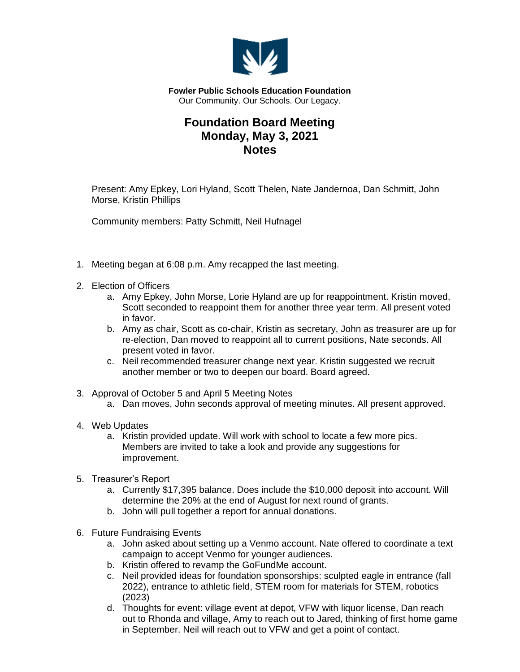

**Fowler Public Schools Education Foundation** Our Community. Our Schools. Our Legacy.

## **Foundation Board Meeting Monday, May 3, 2021 Notes**

Present: Amy Epkey, Lori Hyland, Scott Thelen, Nate Jandernoa, Dan Schmitt, John Morse, Kristin Phillips

Community members: Patty Schmitt, Neil Hufnagel

- 1. Meeting began at 6:08 p.m. Amy recapped the last meeting.
- 2. Election of Officers
	- a. Amy Epkey, John Morse, Lorie Hyland are up for reappointment. Kristin moved, Scott seconded to reappoint them for another three year term. All present voted in favor.
	- b. Amy as chair, Scott as co-chair, Kristin as secretary, John as treasurer are up for re-election, Dan moved to reappoint all to current positions, Nate seconds. All present voted in favor.
	- c. Neil recommended treasurer change next year. Kristin suggested we recruit another member or two to deepen our board. Board agreed.
- 3. Approval of October 5 and April 5 Meeting Notes
	- a. Dan moves, John seconds approval of meeting minutes. All present approved.
- 4. Web Updates
	- a. Kristin provided update. Will work with school to locate a few more pics. Members are invited to take a look and provide any suggestions for improvement.
- 5. Treasurer's Report
	- a. Currently \$17,395 balance. Does include the \$10,000 deposit into account. Will determine the 20% at the end of August for next round of grants.
	- b. John will pull together a report for annual donations.
- 6. Future Fundraising Events
	- a. John asked about setting up a Venmo account. Nate offered to coordinate a text campaign to accept Venmo for younger audiences.
	- b. Kristin offered to revamp the GoFundMe account.
	- c. Neil provided ideas for foundation sponsorships: sculpted eagle in entrance (fall 2022), entrance to athletic field, STEM room for materials for STEM, robotics (2023)
	- d. Thoughts for event: village event at depot, VFW with liquor license, Dan reach out to Rhonda and village, Amy to reach out to Jared, thinking of first home game in September. Neil will reach out to VFW and get a point of contact.